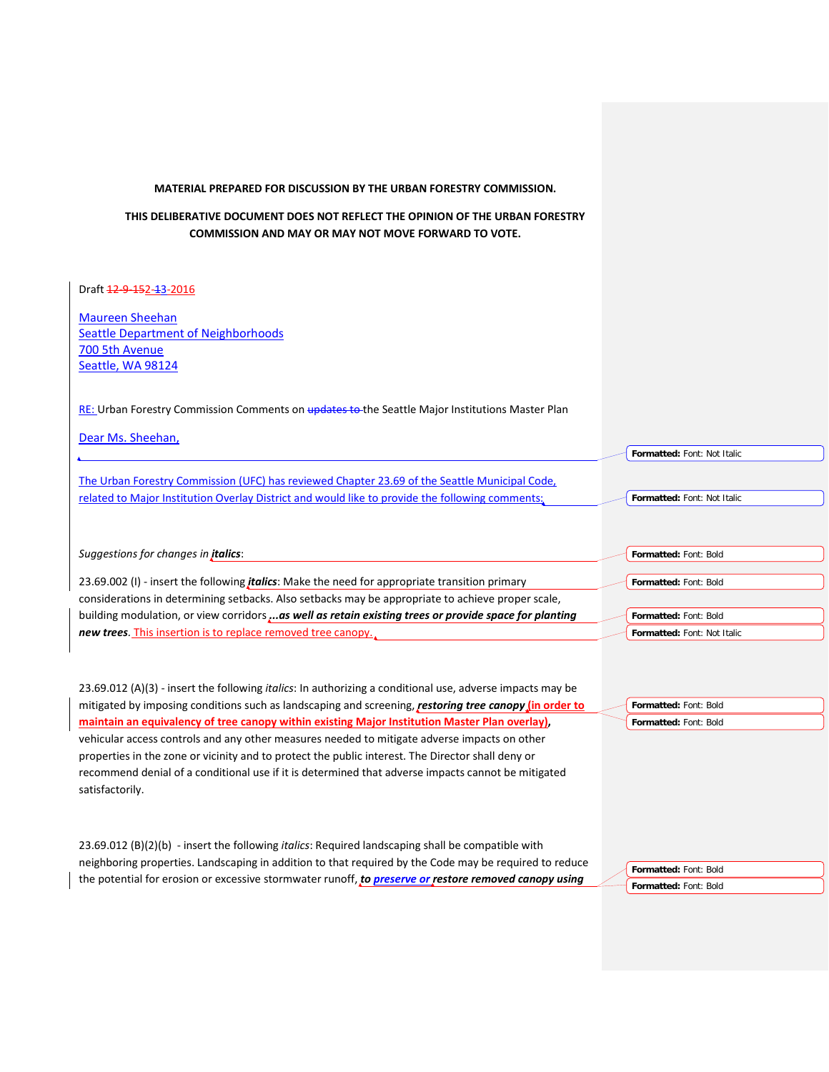## **MATERIAL PREPARED FOR DISCUSSION BY THE URBAN FORESTRY COMMISSION.**

## **THIS DELIBERATIVE DOCUMENT DOES NOT REFLECT THE OPINION OF THE URBAN FORESTRY COMMISSION AND MAY OR MAY NOT MOVE FORWARD TO VOTE.**

## Draft 12-9-152-13-2016

Maureen Sheehan Seattle Department of Neighborhoods 700 5th Avenue Seattle, WA 98124

RE: Urban Forestry Commission Comments on updates to the Seattle Major Institutions Master Plan

| Dear Ms. Sheehan,                                                                               |                             |
|-------------------------------------------------------------------------------------------------|-----------------------------|
|                                                                                                 | Formatted: Font: Not Italic |
| The Urban Forestry Commission (UFC) has reviewed Chapter 23.69 of the Seattle Municipal Code,   |                             |
| related to Major Institution Overlay District and would like to provide the following comments; | Formatted: Font: Not Italic |
|                                                                                                 |                             |
|                                                                                                 |                             |
| Suggestions for changes in <i>italics</i> :                                                     | Formatted: Font: Bold       |

23.69.002 (I) - insert the following *italics*: Make the need for appropriate transition primary considerations in determining setbacks. Also setbacks may be appropriate to achieve proper scale, building modulation, or view corridors *...as well as retain existing trees or provide space for planting new trees.* This insertion is to replace removed tree canopy.

23.69.012 (A)(3) - insert the following *italics*: In authorizing a conditional use, adverse impacts may be mitigated by imposing conditions such as landscaping and screening, *restoring tree canopy* **(in order to maintain an equivalency of tree canopy within existing Major Institution Master Plan overlay),**  vehicular access controls and any other measures needed to mitigate adverse impacts on other properties in the zone or vicinity and to protect the public interest. The Director shall deny or recommend denial of a conditional use if it is determined that adverse impacts cannot be mitigated satisfactorily.

23.69.012 (B)(2)(b) - insert the following *italics*: Required landscaping shall be compatible with neighboring properties. Landscaping in addition to that required by the Code may be required to reduce the potential for erosion or excessive stormwater runoff, *to preserve or restore removed canopy using* 

**Formatted:** Font: Bold **Formatted:** Font: Bold

**Formatted:** Font: Bold **Formatted:** Font: Bold

**Formatted:** Font: Bold

**Formatted:** Font: Bold **Formatted:** Font: Not Italic